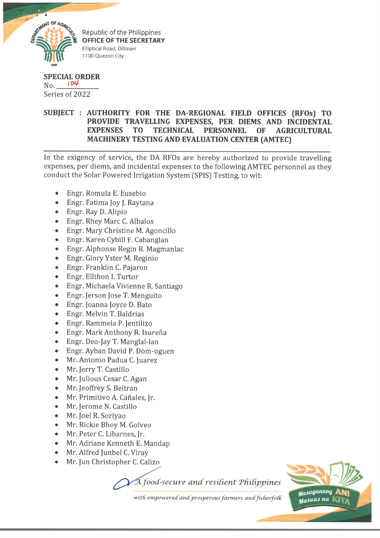

Republic of the Philippines **OFFICE OF THE SECRETARY** Elliptical Road, Diliman 1100 Quezon City

## **SPECIAL ORDER**  $No.$   $104$ Series of 2022

## **SUBJECT : AUTHORITY FOR THE DA-REGIONAL FIELD OFFICES (RFOs) TO PROVIDE TRAVELLING EXPENSES, PER DIEMS AND INCIDENTAL EXPENSES TO TECHNICAL PERSONNEL OF AGRICULTURAL MACHINERY TESTING AND EVALUATION CENTER (AMTEC)**

In the exigency of service, the DA RFOs are hereby authorized to provide travelling expenses, per diems, and incidental expenses to the following AMTEC personnel as they conduct the Solar Powered Irrigation System (SPIS) Testing, to wit:

- Engr. Romula E. Eusebio
- Engr. Fatima Joy J. Raytana
- Engr. Ray D. Alipio
- Engr. Rhey Marc C. Albalos
- Engr. Mary Christine M. Agoncillo
- Engr. Karen Cybill F. Cabanglan
- Engr. Alphonse Regin R. Magmanlac
- Engr. Glory Yster M. Reginio
- Engr. Franklin C. Pajaron
- Engr. Ellthon I. Turtor
- Engr. Michaela Vivienne R. Santiago
- Engr. Jerson Jose T. Menguito
- Engr. Joanna Joyce D. Bato
- Engr. Melvin T. Baldrias
- Engr. Rammela P. Jentilizo
- Engr. Mark Anthony R. Isureña
- Engr. Deo-Jay T. Manglal-lan
- Engr. Ayban David P. Dom-oguen
- Mr. Antonio Padua C. Juarez
- Mr. Jerry T. Castillo
- Mr. Julious Cesar C. Agan
- Mr. Jeoffrey S. Beltran
- Mr. Primitivo A. Cañales, Ir.
- Mr. Jerome N. Castillo
- Mr. Joel R. Soriyao
- Mr. Rickie Bhoy M. Golveo
- Mr. Peter C. Libarnes, Jr.
- Mr. Adriane Kenneth E. Mandap
- Mr. Alfred Junbel C. Viray
- Mr. Jun Christopher C. Calizo

*foocC-secure and resident Tdidppines*



with empowered and prosperous farmers and fisherfolk